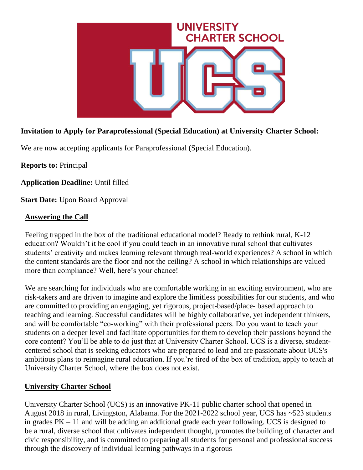

# **Invitation to Apply for Paraprofessional (Special Education) at University Charter School:**

We are now accepting applicants for Paraprofessional (Special Education).

**Reports to:** Principal

**Application Deadline:** Until filled

**Start Date: Upon Board Approval** 

### **Answering the Call**

Feeling trapped in the box of the traditional educational model? Ready to rethink rural, K-12 education? Wouldn't it be cool if you could teach in an innovative rural school that cultivates students' creativity and makes learning relevant through real-world experiences? A school in which the content standards are the floor and not the ceiling? A school in which relationships are valued more than compliance? Well, here's your chance!

We are searching for individuals who are comfortable working in an exciting environment, who are risk-takers and are driven to imagine and explore the limitless possibilities for our students, and who are committed to providing an engaging, yet rigorous, project-based/place- based approach to teaching and learning. Successful candidates will be highly collaborative, yet independent thinkers, and will be comfortable "co-working" with their professional peers. Do you want to teach your students on a deeper level and facilitate opportunities for them to develop their passions beyond the core content? You'll be able to do just that at University Charter School. UCS is a diverse, studentcentered school that is seeking educators who are prepared to lead and are passionate about UCS's ambitious plans to reimagine rural education. If you're tired of the box of tradition, apply to teach at University Charter School, where the box does not exist.

#### **University Charter School**

University Charter School (UCS) is an innovative PK-11 public charter school that opened in August 2018 in rural, Livingston, Alabama. For the 2021-2022 school year, UCS has ~523 students in grades PK – 11 and will be adding an additional grade each year following. UCS is designed to be a rural, diverse school that cultivates independent thought, promotes the building of character and civic responsibility, and is committed to preparing all students for personal and professional success through the discovery of individual learning pathways in a rigorous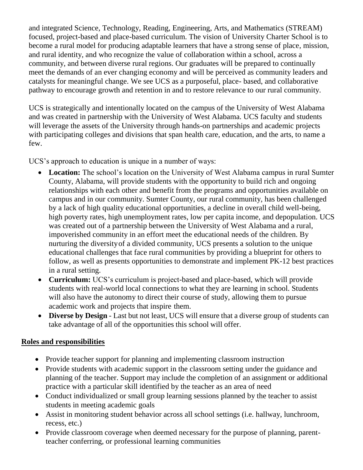and integrated Science, Technology, Reading, Engineering, Arts, and Mathematics (STREAM) focused, project-based and place-based curriculum. The vision of University Charter School is to become a rural model for producing adaptable learners that have a strong sense of place, mission, and rural identity, and who recognize the value of collaboration within a school, across a community, and between diverse rural regions. Our graduates will be prepared to continually meet the demands of an ever changing economy and will be perceived as community leaders and catalysts for meaningful change. We see UCS as a purposeful, place- based, and collaborative pathway to encourage growth and retention in and to restore relevance to our rural community.

UCS is strategically and intentionally located on the campus of the University of West Alabama and was created in partnership with the University of West Alabama. UCS faculty and students will leverage the assets of the University through hands-on partnerships and academic projects with participating colleges and divisions that span health care, education, and the arts, to name a few.

UCS's approach to education is unique in a number of ways:

- **Location:** The school's location on the University of West Alabama campus in rural Sumter County, Alabama, will provide students with the opportunity to build rich and ongoing relationships with each other and benefit from the programs and opportunities available on campus and in our community. Sumter County, our rural community, has been challenged by a lack of high quality educational opportunities, a decline in overall child well-being, high poverty rates, high unemployment rates, low per capita income, and depopulation. UCS was created out of a partnership between the University of West Alabama and a rural, impoverished community in an effort meet the educational needs of the children. By nurturing the diversity of a divided community, UCS presents a solution to the unique educational challenges that face rural communities by providing a blueprint for others to follow, as well as presents opportunities to demonstrate and implement PK-12 best practices in a rural setting.
- **Curriculum:** UCS's curriculum is project-based and place-based, which will provide students with real-world local connections to what they are learning in school. Students will also have the autonomy to direct their course of study, allowing them to pursue academic work and projects that inspire them.
- **Diverse by Design** Last but not least, UCS will ensure that a diverse group of students can take advantage of all of the opportunities this school will offer.

### **Roles and responsibilities**

- Provide teacher support for planning and implementing classroom instruction
- Provide students with academic support in the classroom setting under the guidance and planning of the teacher. Support may include the completion of an assignment or additional practice with a particular skill identified by the teacher as an area of need
- Conduct individualized or small group learning sessions planned by the teacher to assist students in meeting academic goals
- Assist in monitoring student behavior across all school settings (i.e. hallway, lunchroom, recess, etc.)
- Provide classroom coverage when deemed necessary for the purpose of planning, parentteacher conferring, or professional learning communities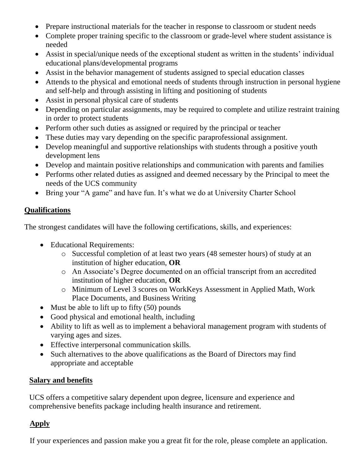- Prepare instructional materials for the teacher in response to classroom or student needs
- Complete proper training specific to the classroom or grade-level where student assistance is needed
- Assist in special/unique needs of the exceptional student as written in the students' individual educational plans/developmental programs
- Assist in the behavior management of students assigned to special education classes
- Attends to the physical and emotional needs of students through instruction in personal hygiene and self-help and through assisting in lifting and positioning of students
- Assist in personal physical care of students
- Depending on particular assignments, may be required to complete and utilize restraint training in order to protect students
- Perform other such duties as assigned or required by the principal or teacher
- These duties may vary depending on the specific paraprofessional assignment.
- Develop meaningful and supportive relationships with students through a positive youth development lens
- Develop and maintain positive relationships and communication with parents and families
- Performs other related duties as assigned and deemed necessary by the Principal to meet the needs of the UCS community
- Bring your "A game" and have fun. It's what we do at University Charter School

### **Qualifications**

The strongest candidates will have the following certifications, skills, and experiences:

- Educational Requirements:
	- o Successful completion of at least two years (48 semester hours) of study at an institution of higher education, **OR**
	- o An Associate's Degree documented on an official transcript from an accredited institution of higher education, **OR**
	- o Minimum of Level 3 scores on WorkKeys Assessment in Applied Math, Work Place Documents, and Business Writing
- Must be able to lift up to fifty  $(50)$  pounds
- Good physical and emotional health, including
- Ability to lift as well as to implement a behavioral management program with students of varying ages and sizes.
- Effective interpersonal communication skills.
- Such alternatives to the above qualifications as the Board of Directors may find appropriate and acceptable

### **Salary and benefits**

UCS offers a competitive salary dependent upon degree, licensure and experience and comprehensive benefits package including health insurance and retirement.

# **Apply**

If your experiences and passion make you a great fit for the role, please complete an application.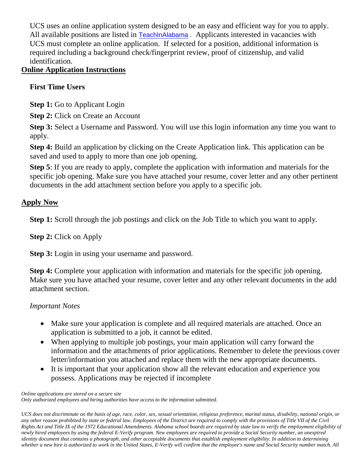UCS uses an online application system designed to be an easy and efficient way for you to apply. All available positions are listed in [TeachInAlabama](https://ats1.atenterprise.powerschool.com/ats/app_login?COMPANY_ID=00008500). Applicants interested in vacancies with UCS must complete an online application. If selected for a position, additional information is required including a background check/fingerprint review, proof of citizenship, and valid identification.

### **Online Application Instructions**

# **First Time Users**

**Step 1:** Go to Applicant Login

**Step 2:** Click on Create an Account

**Step 3:** Select a Username and Password. You will use this login information any time you want to apply.

**Step 4:** Build an application by clicking on the Create Application link. This application can be saved and used to apply to more than one job opening.

**Step 5**: If you are ready to apply, complete the application with information and materials for the specific job opening. Make sure you have attached your resume, cover letter and any other pertinent documents in the add attachment section before you apply to a specific job.

### **Apply Now**

**Step 1:** Scroll through the job postings and click on the Job Title to which you want to apply.

**Step 2:** Click on Apply

**Step 3:** Login in using your username and password.

**Step 4:** Complete your application with information and materials for the specific job opening. Make sure you have attached your resume, cover letter and any other relevant documents in the add attachment section.

### *Important Notes*

- Make sure your application is complete and all required materials are attached. Once an application is submitted to a job, it cannot be edited.
- When applying to multiple job postings, your main application will carry forward the information and the attachments of prior applications. Remember to delete the previous cover letter/information you attached and replace them with the new appropriate documents.
- It is important that your application show all the relevant education and experience you possess. Applications may be rejected if incomplete

*Online applications are stored on a secure site Only authorized employees and hiring authorities have access to the information submitted.* 

*UCS does not discriminate on the basis of age, race, color, sex, sexual orientation, religious preference, marital status, disability, national origin, or any other reason prohibited by state or federal law. Employees of the District are required to comply with the provisions of Title VII of the Civil Rights Act and Title IX of the 1972 Educational Amendments. Alabama school boards are required by state law to verify the employment eligibility of newly hired employees by using the federal E-Verify program. New employees are required to provide a Social Security number, an unexpired identity document that contains a photograph, and other acceptable documents that establish employment eligibility. In addition to determining whether a new hire is authorized to work in the United States, E-Verify will confirm that the employee's name and Social Security number match. All*